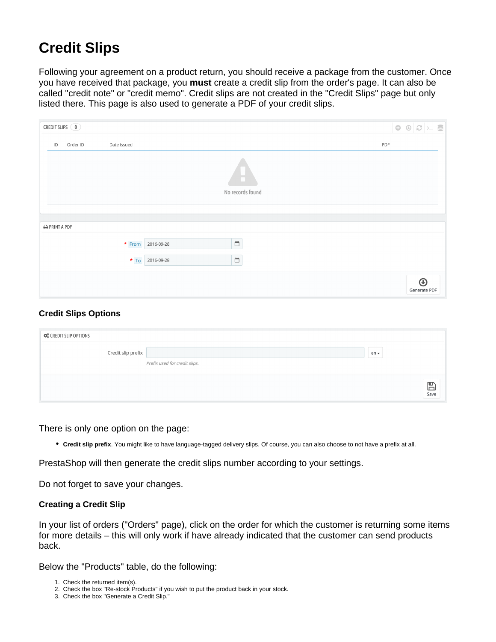## **Credit Slips**

Following your agreement on a product return, you should receive a package from the customer. Once you have received that package, you **must** create a credit slip from the order's page. It can also be called "credit note" or "credit memo". Credit slips are not created in the "Credit Slips" page but only listed there. This page is also used to generate a PDF of your credit slips.

| CREDIT SLIPS 0                       |                            |
|--------------------------------------|----------------------------|
| Order ID<br>Date issued<br>ID        | PDF                        |
| <b>COLL</b><br>No records found      |                            |
| <b>O</b> PRINT A PDF                 |                            |
| $\Box$<br>* From 2016-09-28          |                            |
| $\overline{\Box}$<br>* To 2016-09-28 |                            |
|                                      | $\bigcirc$<br>Generate PDF |

## **Credit Slips Options**

| <b>CCC</b> CREDIT SLIP OPTIONS |                               |        |                      |
|--------------------------------|-------------------------------|--------|----------------------|
| Credit slip prefix             | Prefix used for credit slips. | $en -$ |                      |
|                                |                               |        | $\sum_{\text{Save}}$ |

There is only one option on the page:

**Credit slip prefix**. You might like to have language-tagged delivery slips. Of course, you can also choose to not have a prefix at all.

PrestaShop will then generate the credit slips number according to your settings.

Do not forget to save your changes.

## **Creating a Credit Slip**

In your list of orders ("Orders" page), click on the order for which the customer is returning some items for more details – this will only work if have already indicated that the customer can send products back.

Below the "Products" table, do the following:

- 1. Check the returned item(s).
- 2. Check the box "Re-stock Products" if you wish to put the product back in your stock.
- 3. Check the box "Generate a Credit Slip."